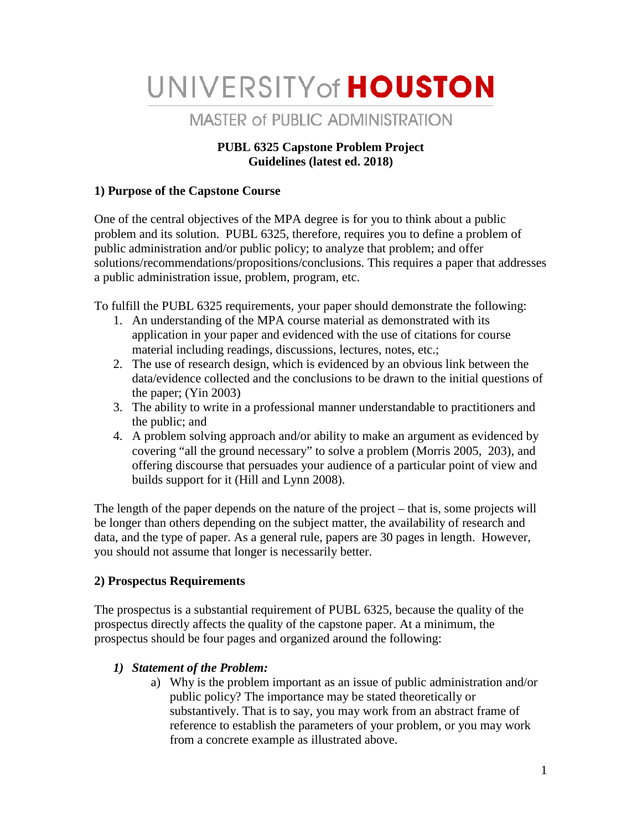# UNIVERSITY of HOUSTON

# **MASTER of PUBLIC ADMINISTRATION**

#### **PUBL 6325 Capstone Problem Project Guidelines (latest ed. 2018)**

#### **1) Purpose of the Capstone Course**

One of the central objectives of the MPA degree is for you to think about a public problem and its solution. PUBL 6325, therefore, requires you to define a problem of public administration and/or public policy; to analyze that problem; and offer solutions/recommendations/propositions/conclusions. This requires a paper that addresses a public administration issue, problem, program, etc.

To fulfill the PUBL 6325 requirements, your paper should demonstrate the following:

- 1. An understanding of the MPA course material as demonstrated with its application in your paper and evidenced with the use of citations for course material including readings, discussions, lectures, notes, etc.;
- 2. The use of research design, which is evidenced by an obvious link between the data/evidence collected and the conclusions to be drawn to the initial questions of the paper; (Yin 2003)
- 3. The ability to write in a professional manner understandable to practitioners and the public; and
- 4. A problem solving approach and/or ability to make an argument as evidenced by covering "all the ground necessary" to solve a problem (Morris 2005, 203), and offering discourse that persuades your audience of a particular point of view and builds support for it (Hill and Lynn 2008).

The length of the paper depends on the nature of the project – that is, some projects will be longer than others depending on the subject matter, the availability of research and data, and the type of paper. As a general rule, papers are 30 pages in length. However, you should not assume that longer is necessarily better.

# **2) Prospectus Requirements**

The prospectus is a substantial requirement of PUBL 6325, because the quality of the prospectus directly affects the quality of the capstone paper. At a minimum, the prospectus should be four pages and organized around the following:

# *1) Statement of the Problem:*

a) Why is the problem important as an issue of public administration and/or public policy? The importance may be stated theoretically or substantively. That is to say, you may work from an abstract frame of reference to establish the parameters of your problem, or you may work from a concrete example as illustrated above.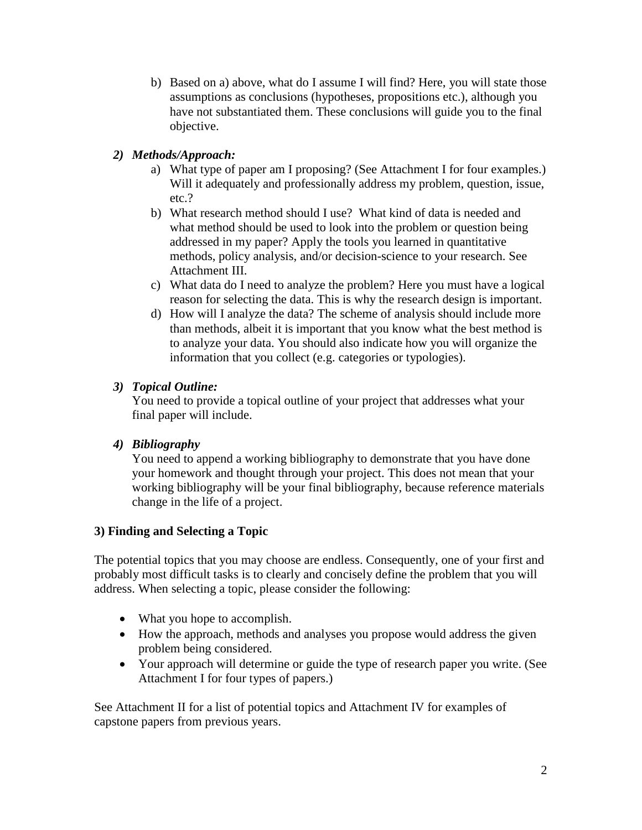b) Based on a) above, what do I assume I will find? Here, you will state those assumptions as conclusions (hypotheses, propositions etc.), although you have not substantiated them. These conclusions will guide you to the final objective.

#### *2) Methods/Approach:*

- a) What type of paper am I proposing? (See Attachment I for four examples.) Will it adequately and professionally address my problem, question, issue, etc.?
- b) What research method should I use? What kind of data is needed and what method should be used to look into the problem or question being addressed in my paper? Apply the tools you learned in quantitative methods, policy analysis, and/or decision-science to your research. See Attachment III.
- c) What data do I need to analyze the problem? Here you must have a logical reason for selecting the data. This is why the research design is important.
- d) How will I analyze the data? The scheme of analysis should include more than methods, albeit it is important that you know what the best method is to analyze your data. You should also indicate how you will organize the information that you collect (e.g. categories or typologies).

#### *3) Topical Outline:*

You need to provide a topical outline of your project that addresses what your final paper will include.

# *4) Bibliography*

You need to append a working bibliography to demonstrate that you have done your homework and thought through your project. This does not mean that your working bibliography will be your final bibliography, because reference materials change in the life of a project.

# **3) Finding and Selecting a Topic**

The potential topics that you may choose are endless. Consequently, one of your first and probably most difficult tasks is to clearly and concisely define the problem that you will address. When selecting a topic, please consider the following:

- What you hope to accomplish.
- How the approach, methods and analyses you propose would address the given problem being considered.
- Your approach will determine or guide the type of research paper you write. (See Attachment I for four types of papers.)

See Attachment II for a list of potential topics and Attachment IV for examples of capstone papers from previous years.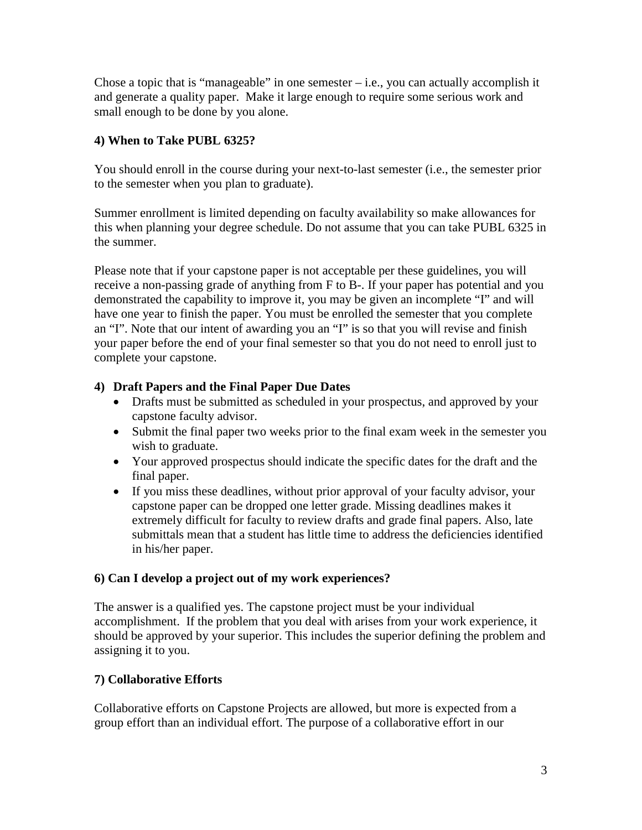Chose a topic that is "manageable" in one semester  $-$  i.e., you can actually accomplish it and generate a quality paper. Make it large enough to require some serious work and small enough to be done by you alone.

#### **4) When to Take PUBL 6325?**

You should enroll in the course during your next-to-last semester (i.e., the semester prior to the semester when you plan to graduate).

Summer enrollment is limited depending on faculty availability so make allowances for this when planning your degree schedule. Do not assume that you can take PUBL 6325 in the summer.

Please note that if your capstone paper is not acceptable per these guidelines, you will receive a non-passing grade of anything from F to B-. If your paper has potential and you demonstrated the capability to improve it, you may be given an incomplete "I" and will have one year to finish the paper. You must be enrolled the semester that you complete an "I". Note that our intent of awarding you an "I" is so that you will revise and finish your paper before the end of your final semester so that you do not need to enroll just to complete your capstone.

#### **4) Draft Papers and the Final Paper Due Dates**

- Drafts must be submitted as scheduled in your prospectus, and approved by your capstone faculty advisor.
- Submit the final paper two weeks prior to the final exam week in the semester you wish to graduate.
- Your approved prospectus should indicate the specific dates for the draft and the final paper.
- If you miss these deadlines, without prior approval of your faculty advisor, your capstone paper can be dropped one letter grade. Missing deadlines makes it extremely difficult for faculty to review drafts and grade final papers. Also, late submittals mean that a student has little time to address the deficiencies identified in his/her paper.

#### **6) Can I develop a project out of my work experiences?**

The answer is a qualified yes. The capstone project must be your individual accomplishment. If the problem that you deal with arises from your work experience, it should be approved by your superior. This includes the superior defining the problem and assigning it to you.

# **7) Collaborative Efforts**

Collaborative efforts on Capstone Projects are allowed, but more is expected from a group effort than an individual effort. The purpose of a collaborative effort in our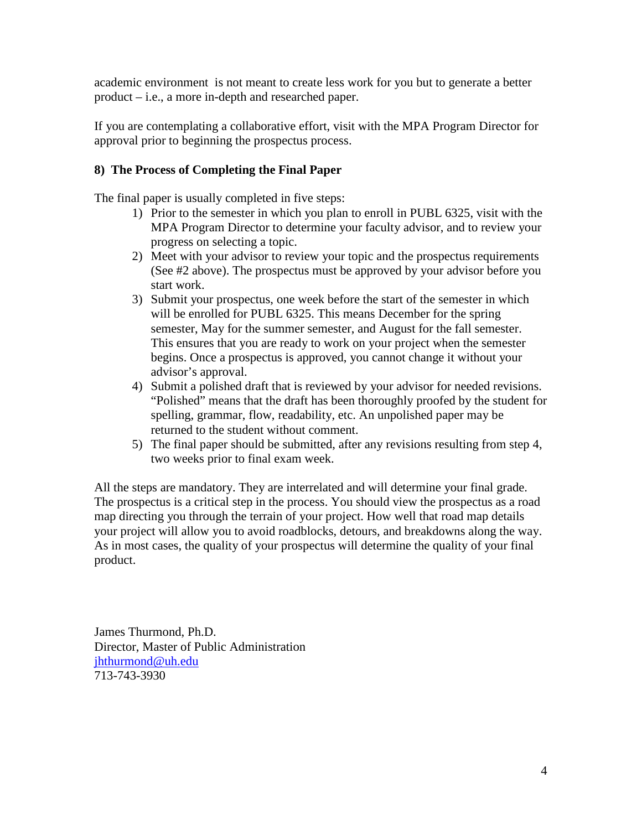academic environment is not meant to create less work for you but to generate a better product – i.e., a more in-depth and researched paper.

If you are contemplating a collaborative effort, visit with the MPA Program Director for approval prior to beginning the prospectus process.

#### **8) The Process of Completing the Final Paper**

The final paper is usually completed in five steps:

- 1) Prior to the semester in which you plan to enroll in PUBL 6325, visit with the MPA Program Director to determine your faculty advisor, and to review your progress on selecting a topic.
- 2) Meet with your advisor to review your topic and the prospectus requirements (See #2 above). The prospectus must be approved by your advisor before you start work.
- 3) Submit your prospectus, one week before the start of the semester in which will be enrolled for PUBL 6325. This means December for the spring semester, May for the summer semester, and August for the fall semester. This ensures that you are ready to work on your project when the semester begins. Once a prospectus is approved, you cannot change it without your advisor's approval.
- 4) Submit a polished draft that is reviewed by your advisor for needed revisions. "Polished" means that the draft has been thoroughly proofed by the student for spelling, grammar, flow, readability, etc. An unpolished paper may be returned to the student without comment.
- 5) The final paper should be submitted, after any revisions resulting from step 4, two weeks prior to final exam week.

All the steps are mandatory. They are interrelated and will determine your final grade. The prospectus is a critical step in the process. You should view the prospectus as a road map directing you through the terrain of your project. How well that road map details your project will allow you to avoid roadblocks, detours, and breakdowns along the way. As in most cases, the quality of your prospectus will determine the quality of your final product.

James Thurmond, Ph.D. Director, Master of Public Administration [jhthurmond@uh.edu](mailto:jhthurmond@uh.edu) 713-743-3930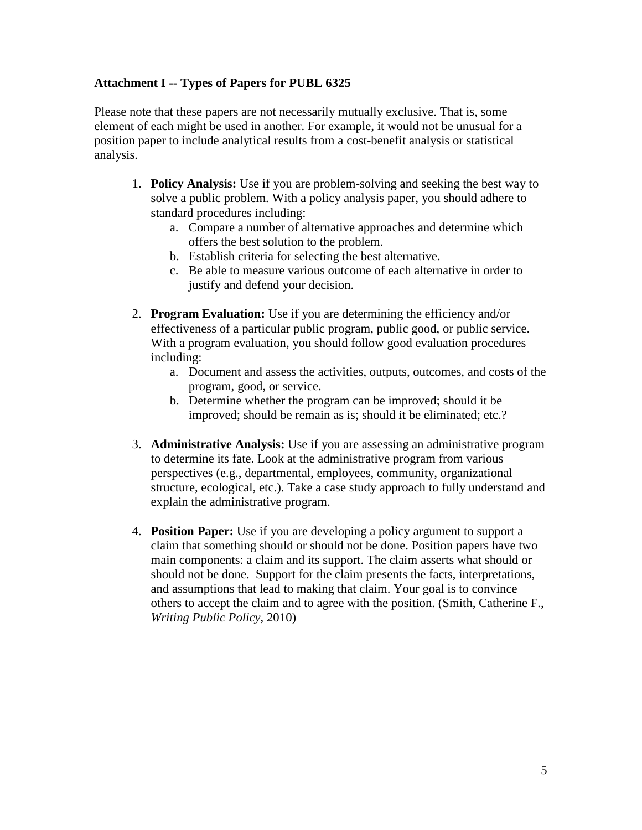#### **Attachment I -- Types of Papers for PUBL 6325**

Please note that these papers are not necessarily mutually exclusive. That is, some element of each might be used in another. For example, it would not be unusual for a position paper to include analytical results from a cost-benefit analysis or statistical analysis.

- 1. **Policy Analysis:** Use if you are problem-solving and seeking the best way to solve a public problem. With a policy analysis paper, you should adhere to standard procedures including:
	- a. Compare a number of alternative approaches and determine which offers the best solution to the problem.
	- b. Establish criteria for selecting the best alternative.
	- c. Be able to measure various outcome of each alternative in order to justify and defend your decision.
- 2. **Program Evaluation:** Use if you are determining the efficiency and/or effectiveness of a particular public program, public good, or public service. With a program evaluation, you should follow good evaluation procedures including:
	- a. Document and assess the activities, outputs, outcomes, and costs of the program, good, or service.
	- b. Determine whether the program can be improved; should it be improved; should be remain as is; should it be eliminated; etc.?
- 3. **Administrative Analysis:** Use if you are assessing an administrative program to determine its fate. Look at the administrative program from various perspectives (e.g., departmental, employees, community, organizational structure, ecological, etc.). Take a case study approach to fully understand and explain the administrative program.
- 4. **Position Paper:** Use if you are developing a policy argument to support a claim that something should or should not be done. Position papers have two main components: a claim and its support. The claim asserts what should or should not be done. Support for the claim presents the facts, interpretations, and assumptions that lead to making that claim. Your goal is to convince others to accept the claim and to agree with the position. (Smith, Catherine F., *Writing Public Policy*, 2010)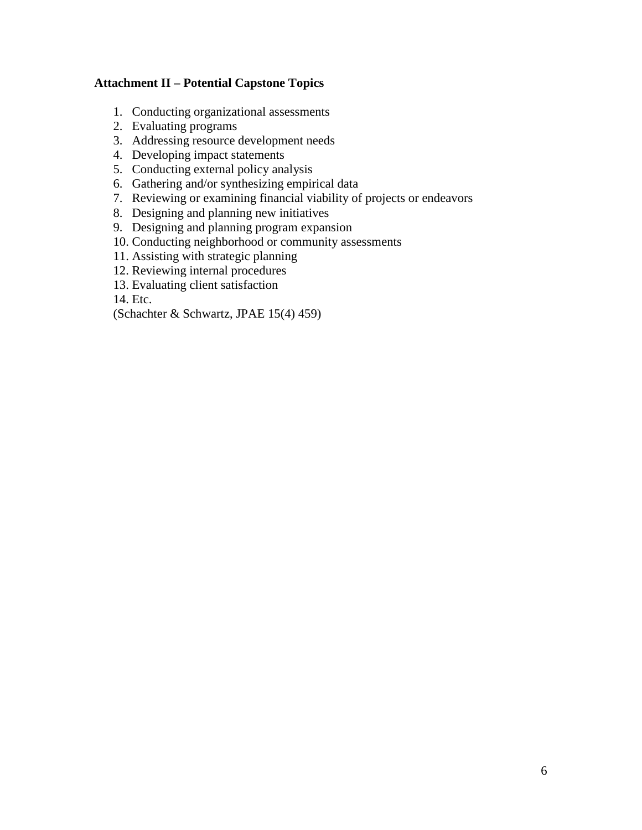#### **Attachment II – Potential Capstone Topics**

- 1. Conducting organizational assessments
- 2. Evaluating programs
- 3. Addressing resource development needs
- 4. Developing impact statements
- 5. Conducting external policy analysis
- 6. Gathering and/or synthesizing empirical data
- 7. Reviewing or examining financial viability of projects or endeavors
- 8. Designing and planning new initiatives
- 9. Designing and planning program expansion
- 10. Conducting neighborhood or community assessments
- 11. Assisting with strategic planning
- 12. Reviewing internal procedures
- 13. Evaluating client satisfaction

14. Etc.

(Schachter & Schwartz, JPAE 15(4) 459)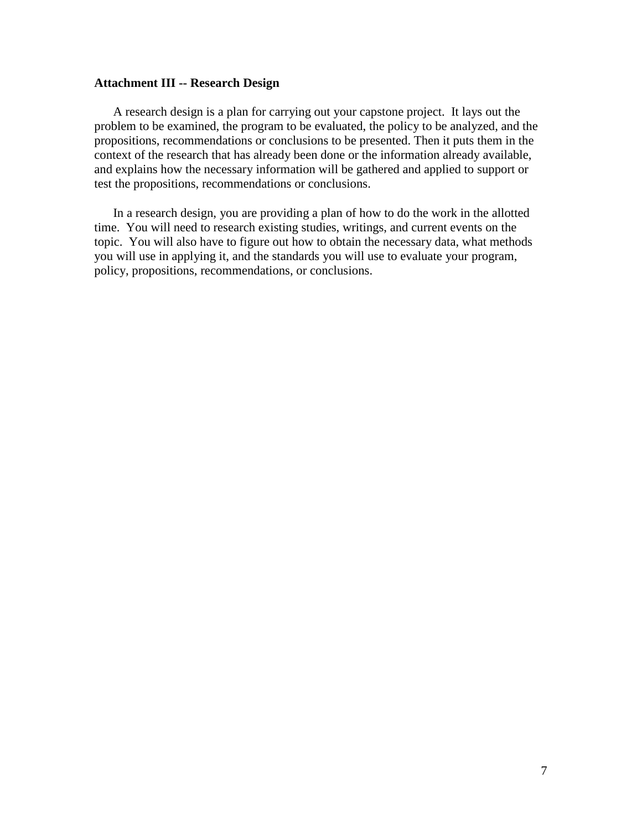#### **Attachment III -- Research Design**

A research design is a plan for carrying out your capstone project. It lays out the problem to be examined, the program to be evaluated, the policy to be analyzed, and the propositions, recommendations or conclusions to be presented. Then it puts them in the context of the research that has already been done or the information already available, and explains how the necessary information will be gathered and applied to support or test the propositions, recommendations or conclusions.

In a research design, you are providing a plan of how to do the work in the allotted time. You will need to research existing studies, writings, and current events on the topic. You will also have to figure out how to obtain the necessary data, what methods you will use in applying it, and the standards you will use to evaluate your program, policy, propositions, recommendations, or conclusions.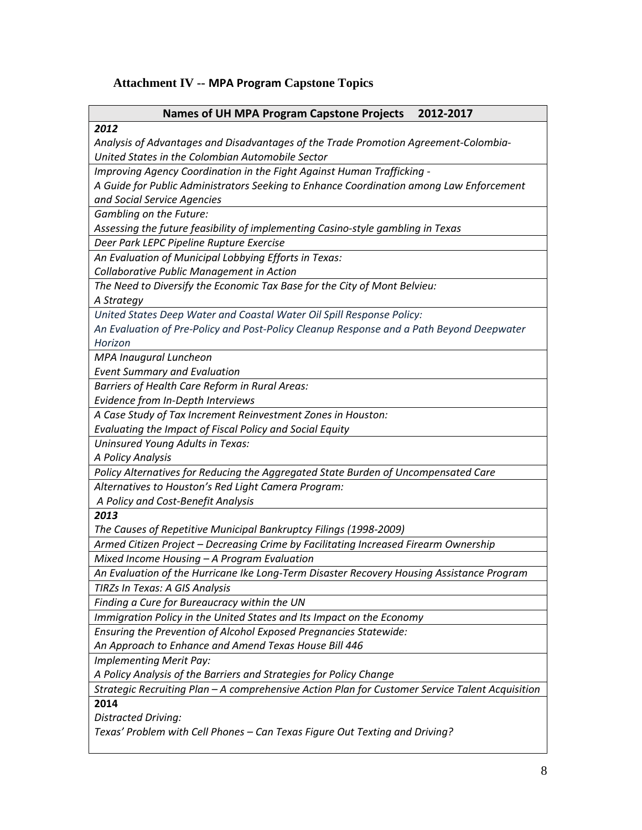#### **Attachment IV -- MPA Program Capstone Topics**

#### **Names of UH MPA Program Capstone Projects 2012-2017**

#### *2012*

*Analysis of Advantages and Disadvantages of the Trade Promotion Agreement-Colombia-United States in the Colombian Automobile Sector*

*Improving Agency Coordination in the Fight Against Human Trafficking -*

*A Guide for Public Administrators Seeking to Enhance Coordination among Law Enforcement and Social Service Agencies*

*Gambling on the Future:* 

*Assessing the future feasibility of implementing Casino-style gambling in Texas*

*Deer Park LEPC Pipeline Rupture Exercise*

*An Evaluation of Municipal Lobbying Efforts in Texas:*

*Collaborative Public Management in Action*

*The Need to Diversify the Economic Tax Base for the City of Mont Belvieu:*

*A Strategy*

*United States Deep Water and Coastal Water Oil Spill Response Policy:*

*An Evaluation of Pre-Policy and Post-Policy Cleanup Response and a Path Beyond Deepwater Horizon*

*MPA Inaugural Luncheon*

*Event Summary and Evaluation*

*Barriers of Health Care Reform in Rural Areas:*

*Evidence from In-Depth Interviews*

*A Case Study of Tax Increment Reinvestment Zones in Houston:* 

*Evaluating the Impact of Fiscal Policy and Social Equity*

*Uninsured Young Adults in Texas:* 

*A Policy Analysis*

*Policy Alternatives for Reducing the Aggregated State Burden of Uncompensated Care*

*Alternatives to Houston's Red Light Camera Program:*

*A Policy and Cost-Benefit Analysis*

*2013*

*The Causes of Repetitive Municipal Bankruptcy Filings (1998-2009)*

*Armed Citizen Project – Decreasing Crime by Facilitating Increased Firearm Ownership*

*Mixed Income Housing – A Program Evaluation* 

*An Evaluation of the Hurricane Ike Long-Term Disaster Recovery Housing Assistance Program TIRZs In Texas: A GIS Analysis* 

*Finding a Cure for Bureaucracy within the UN*

*Immigration Policy in the United States and Its Impact on the Economy*

*Ensuring the Prevention of Alcohol Exposed Pregnancies Statewide:* 

*An Approach to Enhance and Amend Texas House Bill 446*

*Implementing Merit Pay:* 

*A Policy Analysis of the Barriers and Strategies for Policy Change*

*Strategic Recruiting Plan – A comprehensive Action Plan for Customer Service Talent Acquisition*

**2014**

*Distracted Driving:* 

*Texas' Problem with Cell Phones – Can Texas Figure Out Texting and Driving?*